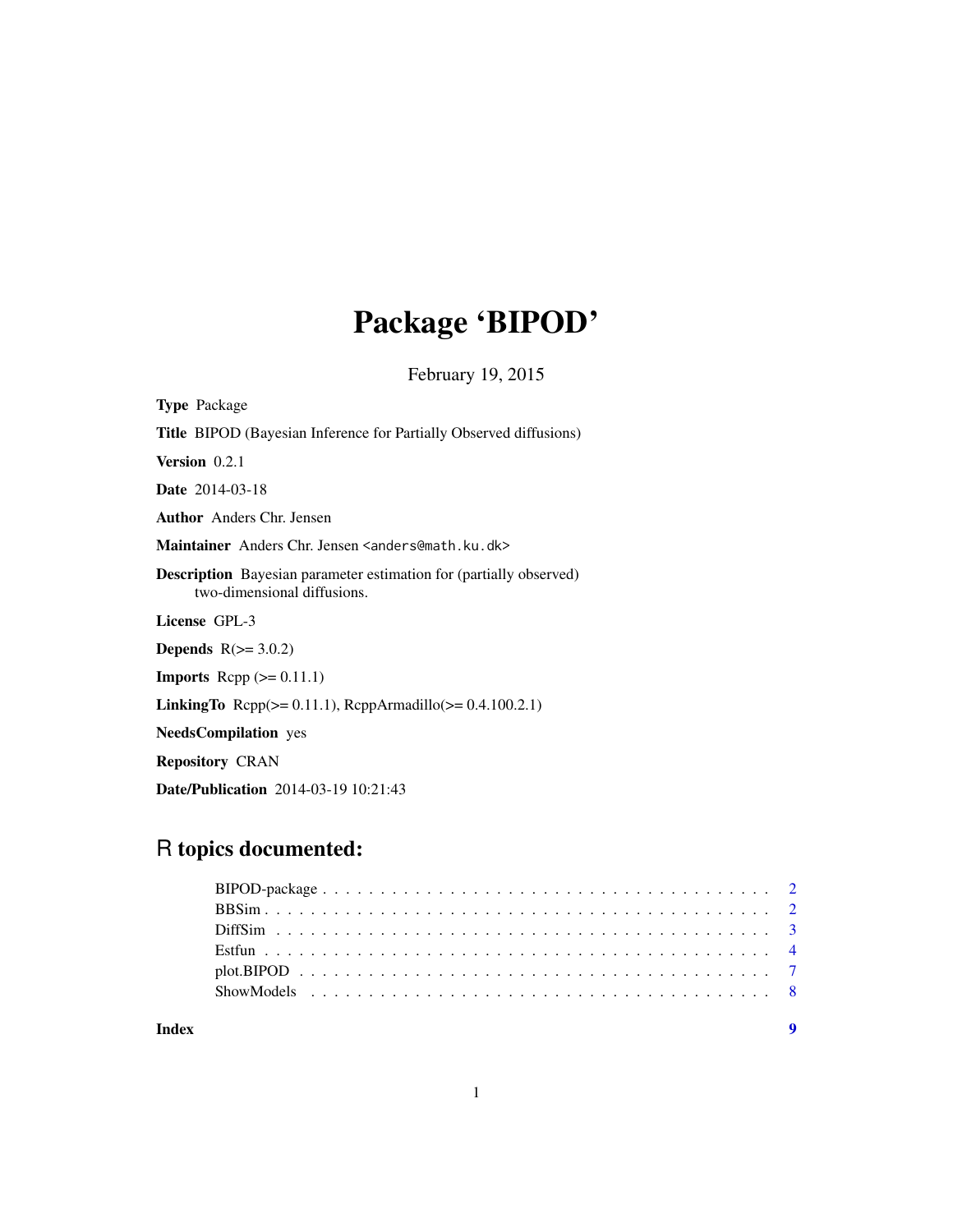# Package 'BIPOD'

February 19, 2015

Type Package Title BIPOD (Bayesian Inference for Partially Observed diffusions) Version 0.2.1 Date 2014-03-18 Author Anders Chr. Jensen Maintainer Anders Chr. Jensen <anders@math.ku.dk> Description Bayesian parameter estimation for (partially observed) two-dimensional diffusions. License GPL-3 **Depends**  $R(>= 3.0.2)$ **Imports** Rcpp  $(>= 0.11.1)$ **LinkingTo** Rcpp( $>= 0.11.1$ ), RcppArmadillo( $>= 0.4.100.2.1$ )

NeedsCompilation yes

Repository CRAN

Date/Publication 2014-03-19 10:21:43

# R topics documented:

| Index |  |
|-------|--|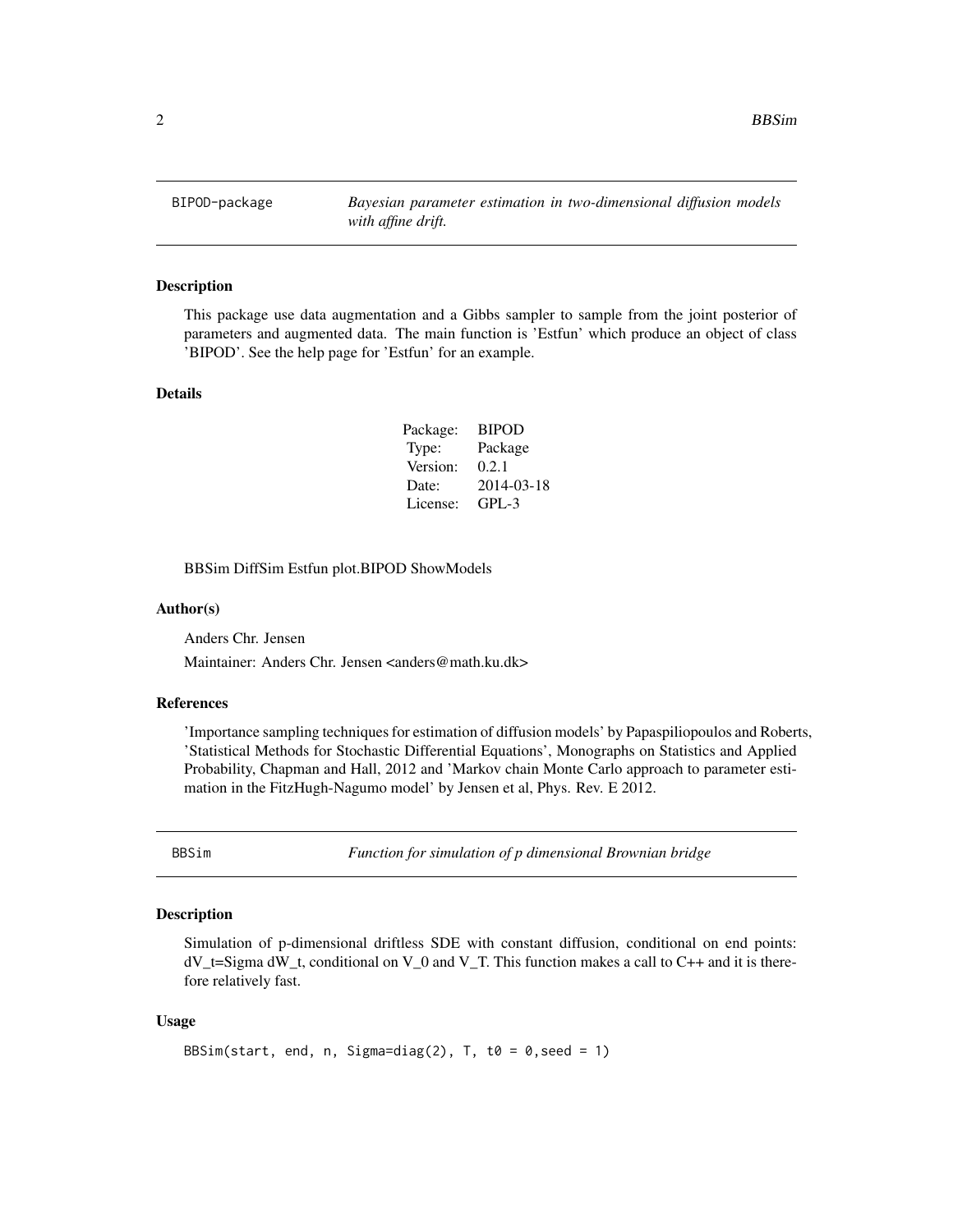<span id="page-1-0"></span>2 BBSim

BIPOD-package *Bayesian parameter estimation in two-dimensional diffusion models with affine drift.*

#### Description

This package use data augmentation and a Gibbs sampler to sample from the joint posterior of parameters and augmented data. The main function is 'Estfun' which produce an object of class 'BIPOD'. See the help page for 'Estfun' for an example.

#### Details

| Package: | <b>BIPOD</b> |
|----------|--------------|
| Type:    | Package      |
| Version: | 0.2.1        |
| Date:    | 2014-03-18   |
| License: | $GPI - 3$    |

BBSim DiffSim Estfun plot.BIPOD ShowModels

#### Author(s)

Anders Chr. Jensen

Maintainer: Anders Chr. Jensen <anders@math.ku.dk>

#### References

'Importance sampling techniques for estimation of diffusion models' by Papaspiliopoulos and Roberts, 'Statistical Methods for Stochastic Differential Equations', Monographs on Statistics and Applied Probability, Chapman and Hall, 2012 and 'Markov chain Monte Carlo approach to parameter estimation in the FitzHugh-Nagumo model' by Jensen et al, Phys. Rev. E 2012.

BBSim *Function for simulation of p dimensional Brownian bridge*

#### **Description**

Simulation of p-dimensional driftless SDE with constant diffusion, conditional on end points: dV\_t=Sigma dW\_t, conditional on V\_0 and V\_T. This function makes a call to C++ and it is therefore relatively fast.

#### Usage

```
BBSim(start, end, n, Sigma=diag(2), T, t0 = 0, seed = 1)
```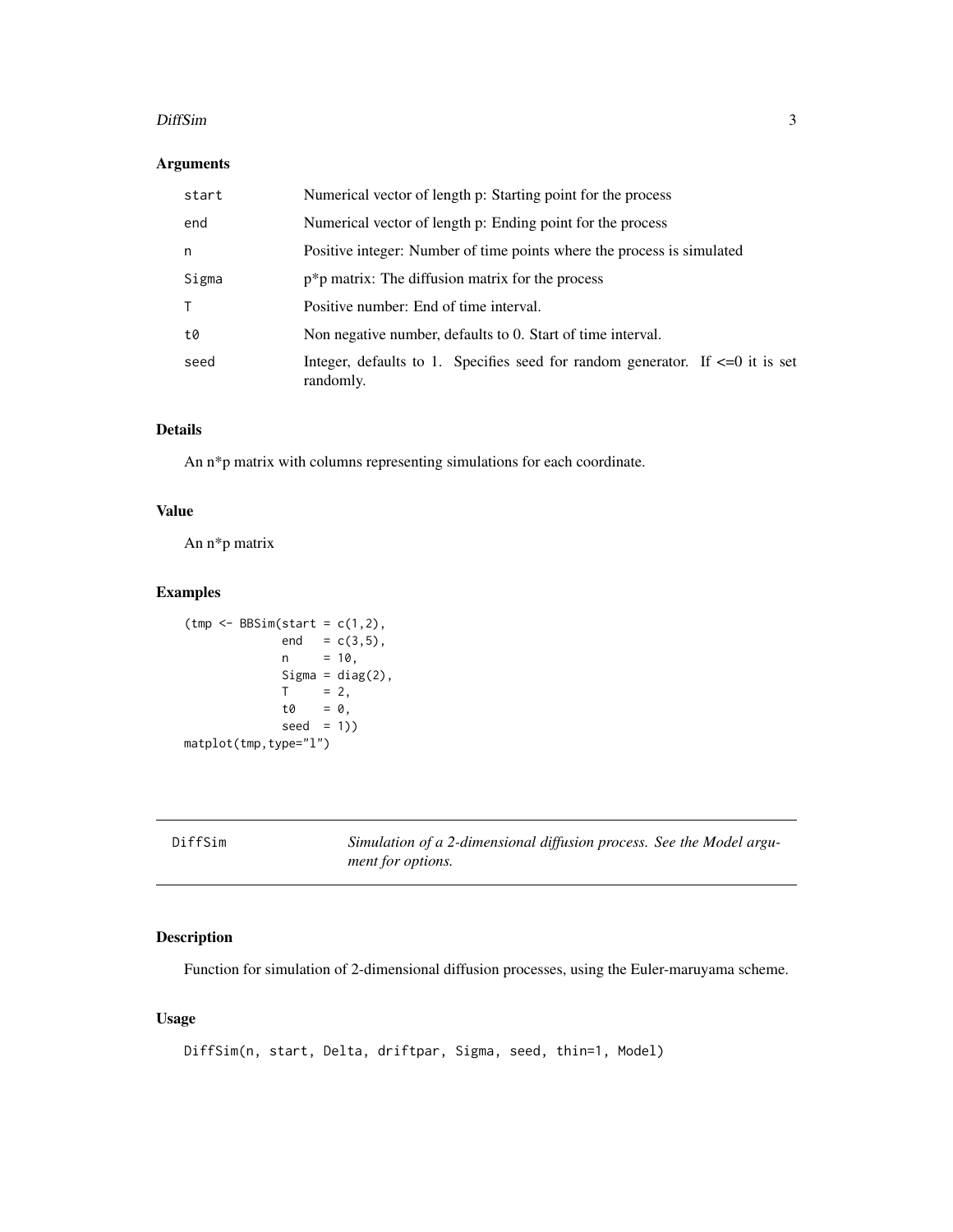#### <span id="page-2-0"></span>DiffSim 3

#### Arguments

| start | Numerical vector of length p: Starting point for the process                                    |
|-------|-------------------------------------------------------------------------------------------------|
| end   | Numerical vector of length p: Ending point for the process                                      |
| n     | Positive integer: Number of time points where the process is simulated                          |
| Sigma | $p^*p$ matrix: The diffusion matrix for the process                                             |
|       | Positive number: End of time interval.                                                          |
| t0    | Non negative number, defaults to 0. Start of time interval.                                     |
| seed  | Integer, defaults to 1. Specifies seed for random generator. If $\leq 0$ it is set<br>randomly. |

## Details

An n\*p matrix with columns representing simulations for each coordinate.

#### Value

An n\*p matrix

#### Examples

```
(tmp \leftarrow BBSim(start = c(1,2)),end = c(3,5),
             n = 10,Sigma = diag(2),
             T = 2,t0 = 0,
             seed = 1))
matplot(tmp,type="l")
```

| f<br>Di<br>Ŀ<br>t S 1 M<br>۰. |  |
|-------------------------------|--|
|-------------------------------|--|

Simulation of a 2-dimensional diffusion process. See the Model argu*ment for options.*

#### Description

Function for simulation of 2-dimensional diffusion processes, using the Euler-maruyama scheme.

#### Usage

```
DiffSim(n, start, Delta, driftpar, Sigma, seed, thin=1, Model)
```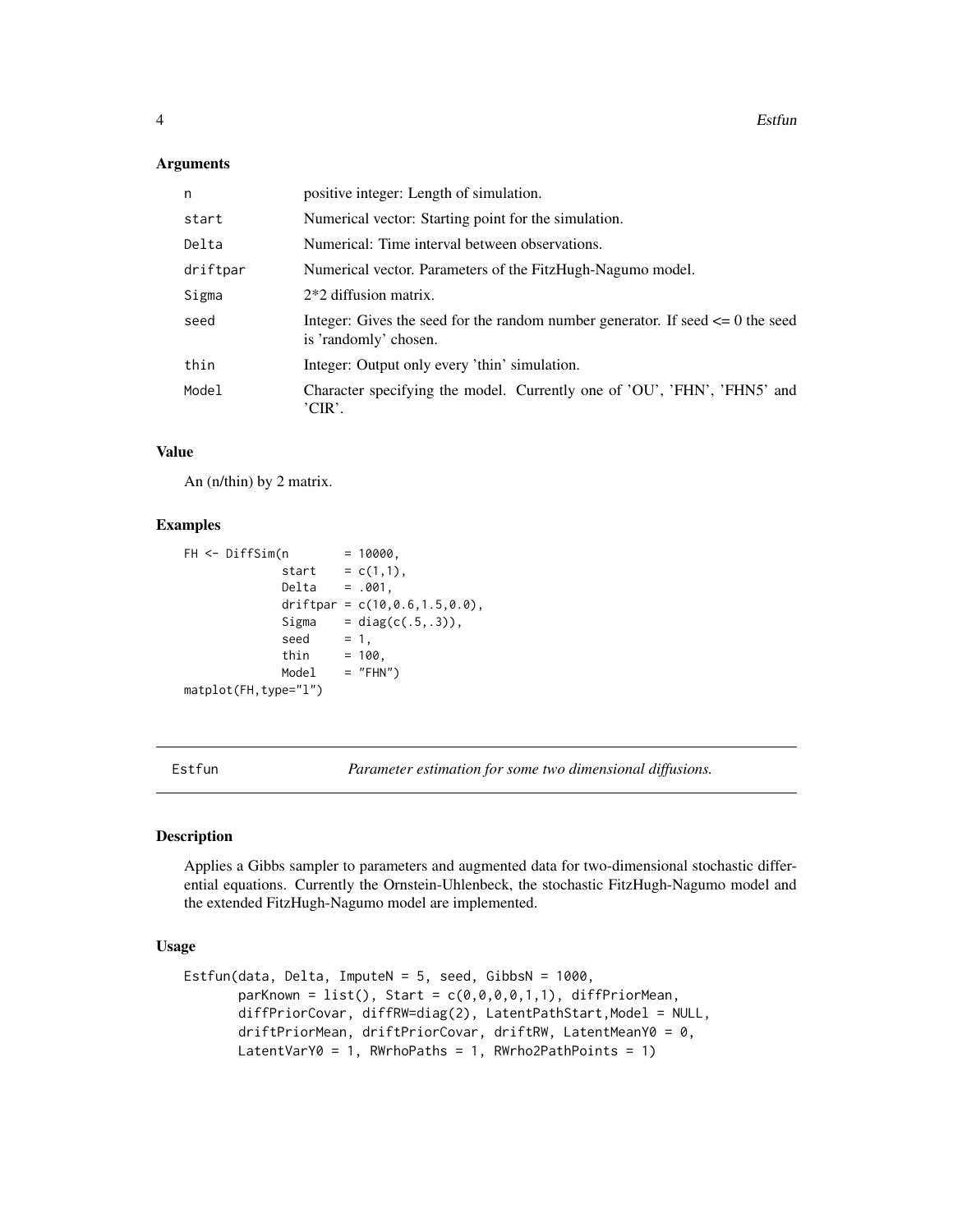#### <span id="page-3-0"></span>**Arguments**

| n        | positive integer: Length of simulation.                                                                     |
|----------|-------------------------------------------------------------------------------------------------------------|
| start    | Numerical vector: Starting point for the simulation.                                                        |
| Delta    | Numerical: Time interval between observations.                                                              |
| driftpar | Numerical vector. Parameters of the FitzHugh-Nagumo model.                                                  |
| Sigma    | $2*2$ diffusion matrix.                                                                                     |
| seed     | Integer: Gives the seed for the random number generator. If seed $\leq 0$ the seed<br>is 'randomly' chosen. |
| thin     | Integer: Output only every 'thin' simulation.                                                               |
| Model    | Character specifying the model. Currently one of 'OU', 'FHN', 'FHN5' and<br>'CIR'.                          |

#### Value

An (n/thin) by 2 matrix.

#### Examples

```
FH < - \text{DiffSim}(n) = 10000,
            start = c(1,1),
            Delta = .001,
             driftpar = c(10,0.6,1.5,0.0),
             Sigma = diag(c(.5,.3)),
             seed = 1,
             thin = 100,
            Model = "FHN")
matplot(FH,type="l")
```
Estfun *Parameter estimation for some two dimensional diffusions.*

#### Description

Applies a Gibbs sampler to parameters and augmented data for two-dimensional stochastic differential equations. Currently the Ornstein-Uhlenbeck, the stochastic FitzHugh-Nagumo model and the extended FitzHugh-Nagumo model are implemented.

#### Usage

```
Estfun(data, Delta, ImputeN = 5, seed, GibbsN = 1000,
       parknown = list(), Start = c(0,0,0,0,1,1), differPriorMean,diffPriorCovar, diffRW=diag(2), LatentPathStart,Model = NULL,
       driftPriorMean, driftPriorCovar, driftRW, LatentMeanY0 = 0,
       LatentVarY0 = 1, RWrhoPaths = 1, RWrho2PathPoints = 1)
```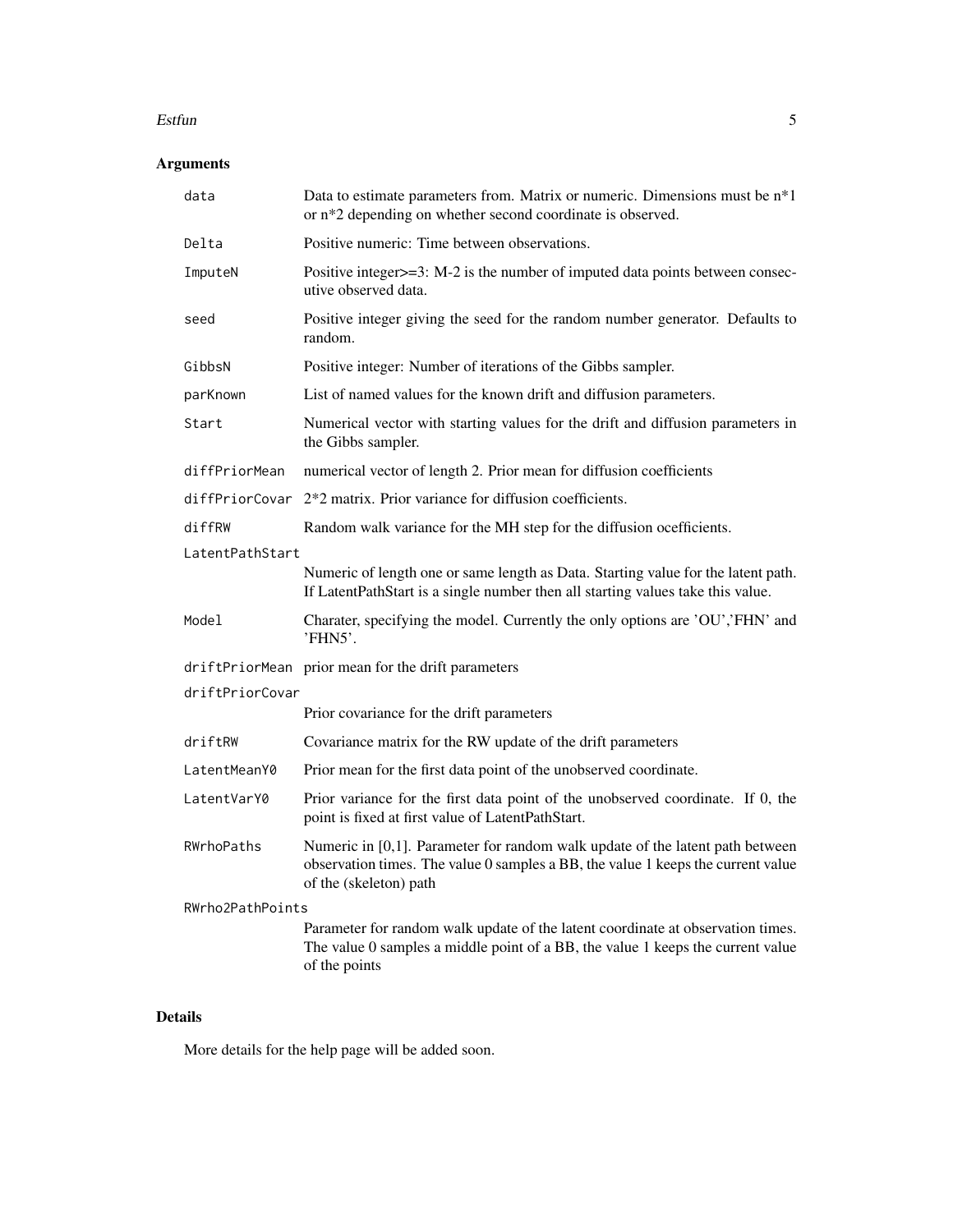#### Estfun 5

# Arguments

| data             | Data to estimate parameters from. Matrix or numeric. Dimensions must be n*1<br>or n*2 depending on whether second coordinate is observed.                                                   |
|------------------|---------------------------------------------------------------------------------------------------------------------------------------------------------------------------------------------|
| Delta            | Positive numeric: Time between observations.                                                                                                                                                |
| ImputeN          | Positive integer>=3: M-2 is the number of imputed data points between consec-<br>utive observed data.                                                                                       |
| seed             | Positive integer giving the seed for the random number generator. Defaults to<br>random.                                                                                                    |
| GibbsN           | Positive integer: Number of iterations of the Gibbs sampler.                                                                                                                                |
| parKnown         | List of named values for the known drift and diffusion parameters.                                                                                                                          |
| Start            | Numerical vector with starting values for the drift and diffusion parameters in<br>the Gibbs sampler.                                                                                       |
| diffPriorMean    | numerical vector of length 2. Prior mean for diffusion coefficients                                                                                                                         |
| diffPriorCovar   | 2*2 matrix. Prior variance for diffusion coefficients.                                                                                                                                      |
| diffRW           | Random walk variance for the MH step for the diffusion ocefficients.                                                                                                                        |
| LatentPathStart  |                                                                                                                                                                                             |
|                  | Numeric of length one or same length as Data. Starting value for the latent path.<br>If LatentPathStart is a single number then all starting values take this value.                        |
| Model            | Charater, specifying the model. Currently the only options are 'OU','FHN' and<br>'FHN5'.                                                                                                    |
|                  | driftPriorMean prior mean for the drift parameters                                                                                                                                          |
| driftPriorCovar  |                                                                                                                                                                                             |
|                  | Prior covariance for the drift parameters                                                                                                                                                   |
| driftRW          | Covariance matrix for the RW update of the drift parameters                                                                                                                                 |
| LatentMeanY0     | Prior mean for the first data point of the unobserved coordinate.                                                                                                                           |
| LatentVarY0      | Prior variance for the first data point of the unobserved coordinate. If 0, the<br>point is fixed at first value of LatentPathStart.                                                        |
| RWrhoPaths       | Numeric in [0,1]. Parameter for random walk update of the latent path between<br>observation times. The value 0 samples a BB, the value 1 keeps the current value<br>of the (skeleton) path |
| RWrho2PathPoints |                                                                                                                                                                                             |
|                  | Parameter for random walk update of the latent coordinate at observation times.<br>The value 0 samples a middle point of a BB, the value 1 keeps the current value<br>of the points         |

#### Details

More details for the help page will be added soon.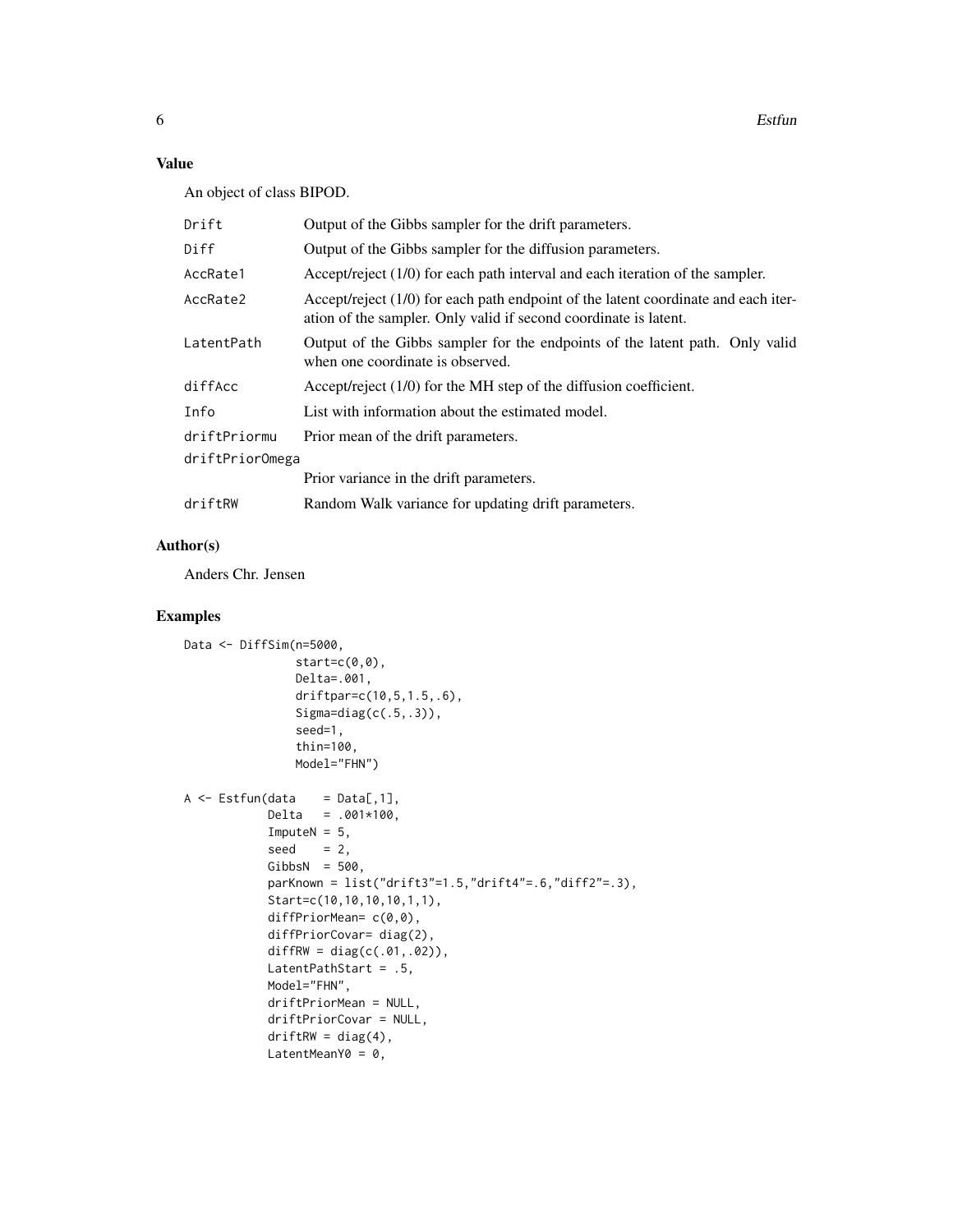# Value

An object of class BIPOD.

| Drift           | Output of the Gibbs sampler for the drift parameters.                                                                                                    |
|-----------------|----------------------------------------------------------------------------------------------------------------------------------------------------------|
| Diff            | Output of the Gibbs sampler for the diffusion parameters.                                                                                                |
| AccRate1        | Accept/reject $(1/0)$ for each path interval and each iteration of the sampler.                                                                          |
| AccRate2        | Accept/reject $(1/0)$ for each path endpoint of the latent coordinate and each iter-<br>ation of the sampler. Only valid if second coordinate is latent. |
| LatentPath      | Output of the Gibbs sampler for the endpoints of the latent path. Only valid<br>when one coordinate is observed.                                         |
| diffAcc         | Accept/reject $(1/0)$ for the MH step of the diffusion coefficient.                                                                                      |
| Info            | List with information about the estimated model.                                                                                                         |
| driftPriormu    | Prior mean of the drift parameters.                                                                                                                      |
| driftPriorOmega |                                                                                                                                                          |
|                 | Prior variance in the drift parameters.                                                                                                                  |
| driftRW         | Random Walk variance for updating drift parameters.                                                                                                      |

# Author(s)

Anders Chr. Jensen

### Examples

```
Data <- DiffSim(n=5000,
                start=c(0,0),
                 Delta=.001,
                 driftpar=c(10,5,1.5,.6),
                 Signa=diag(c(.5,.3)),
                 seed=1,
                 thin=100,
                Model="FHN")
A \leftarrow \text{Estfun}(\text{data} = \text{Data}[, 1],Delta = .001*100,ImputeN = 5,
            seed = 2,
            GibbsN = 500,
            parkDown = list("drift3" = 1.5,"drift4" = .6,"diff2" = .3),Start=c(10,10,10,10,1,1),
            diffPriorMean= c(0,0),
            diffPriorCovar= diag(2),
            diffRW = diag(c(.01, .02)),LatentPathStart = .5,
            Model="FHN",
            driftPriorMean = NULL,
            driftPriorCovar = NULL,
            driftRW = diag(4),
            LatentMeanY0 = 0,
```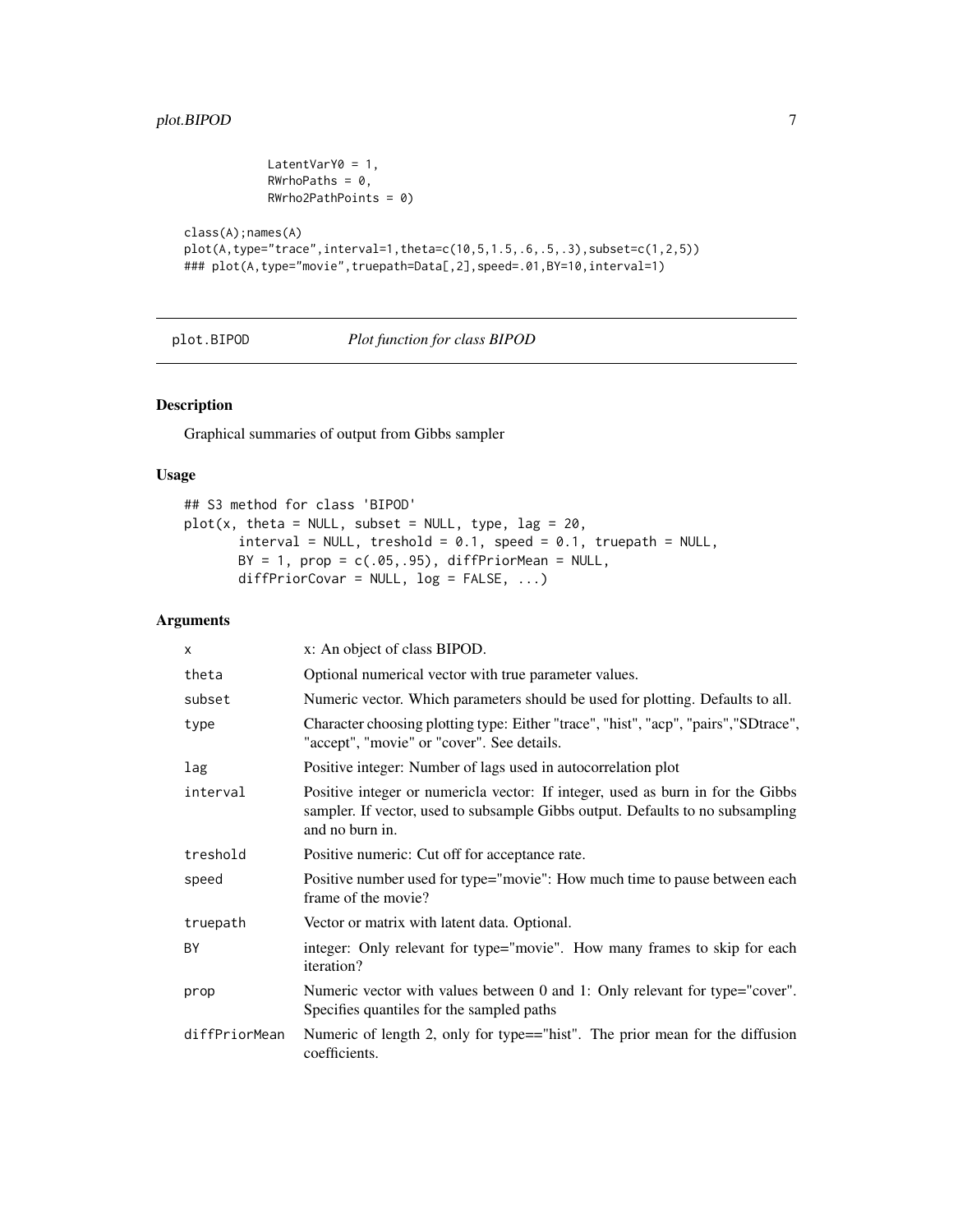```
LatentVarY0 = 1,
            RWrhoPaths = 0,
            RWrho2PathPoints = 0)
class(A);names(A)
```

```
plot(A,type="trace",interval=1,theta=c(10,5,1.5,.6,.5,.3),subset=c(1,2,5))
### plot(A,type="movie",truepath=Data[,2],speed=.01,BY=10,interval=1)
```
plot.BIPOD *Plot function for class BIPOD*

#### Description

Graphical summaries of output from Gibbs sampler

#### Usage

```
## S3 method for class 'BIPOD'
plot(x, theta = NULL, subset = NULL, type, lag = 20,interval = NULL, treshold = 0.1, speed = 0.1, true path = NULL,BY = 1, prop = c(.05, .95), diffPriorMean = NULL,
      diffPriorCovar = NULL, log = FALSE, ...)
```
#### Arguments

| X             | x: An object of class BIPOD.                                                                                                                                                         |
|---------------|--------------------------------------------------------------------------------------------------------------------------------------------------------------------------------------|
| theta         | Optional numerical vector with true parameter values.                                                                                                                                |
| subset        | Numeric vector. Which parameters should be used for plotting. Defaults to all.                                                                                                       |
| type          | Character choosing plotting type: Either "trace", "hist", "acp", "pairs", "SDtrace",<br>"accept", "movie" or "cover". See details.                                                   |
| lag           | Positive integer: Number of lags used in autocorrelation plot                                                                                                                        |
| interval      | Positive integer or numericla vector: If integer, used as burn in for the Gibbs<br>sampler. If vector, used to subsample Gibbs output. Defaults to no subsampling<br>and no burn in. |
| treshold      | Positive numeric: Cut off for acceptance rate.                                                                                                                                       |
| speed         | Positive number used for type="movie": How much time to pause between each<br>frame of the movie?                                                                                    |
| truepath      | Vector or matrix with latent data. Optional.                                                                                                                                         |
| BY            | integer: Only relevant for type="movie". How many frames to skip for each<br>iteration?                                                                                              |
| prop          | Numeric vector with values between 0 and 1: Only relevant for type="cover".<br>Specifies quantiles for the sampled paths                                                             |
| diffPriorMean | Numeric of length 2, only for type=="hist". The prior mean for the diffusion<br>coefficients.                                                                                        |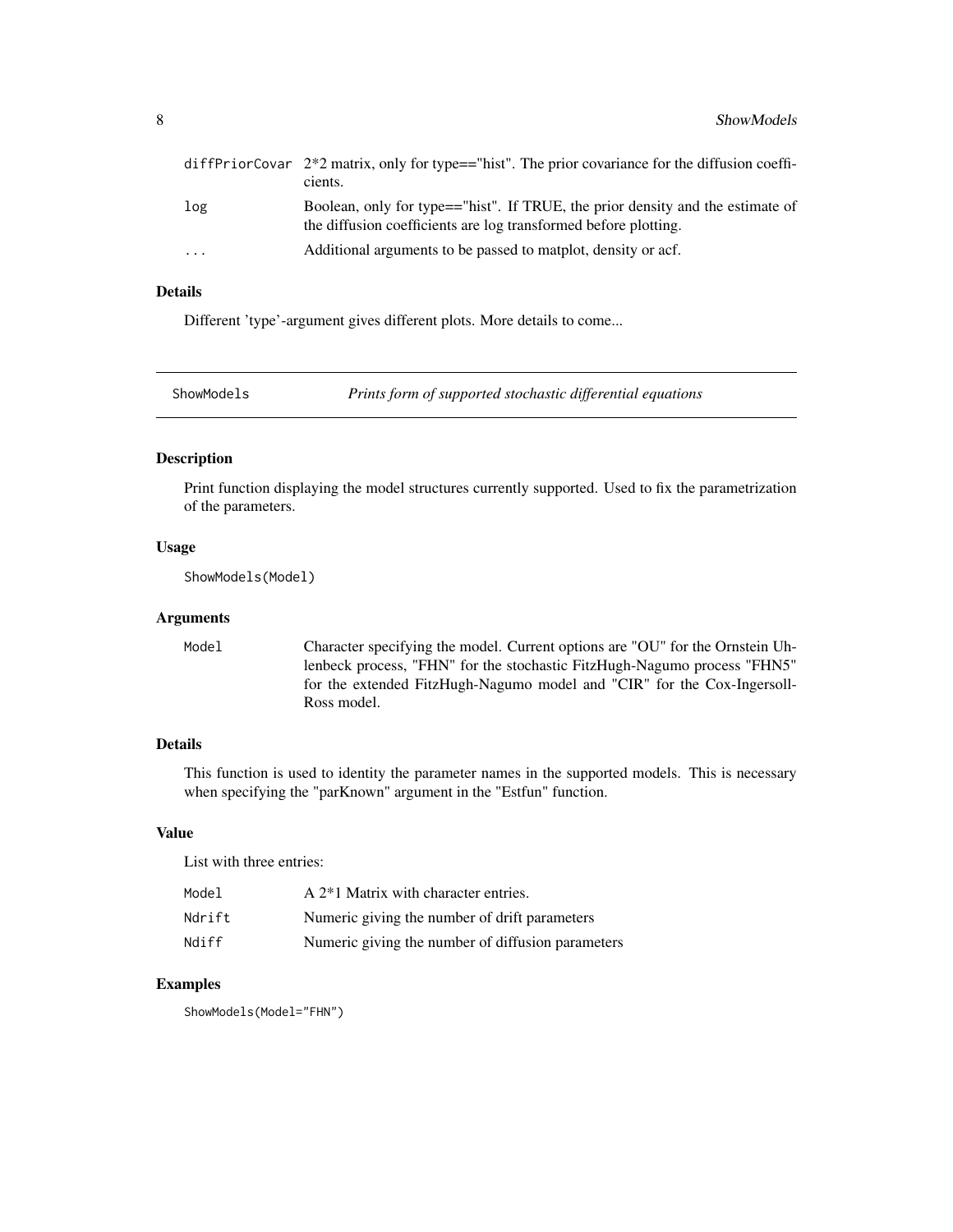<span id="page-7-0"></span>

|     | diffPriorCovar $2*2$ matrix, only for type=="hist". The prior covariance for the diffusion coeffi-<br>cients.                                     |
|-----|---------------------------------------------------------------------------------------------------------------------------------------------------|
| log | Boolean, only for type=="hist". If TRUE, the prior density and the estimate of<br>the diffusion coefficients are log transformed before plotting. |
| .   | Additional arguments to be passed to matplot, density or acf.                                                                                     |

# Details

Different 'type'-argument gives different plots. More details to come...

ShowModels *Prints form of supported stochastic differential equations*

#### Description

Print function displaying the model structures currently supported. Used to fix the parametrization of the parameters.

#### Usage

ShowModels(Model)

#### Arguments

Model Character specifying the model. Current options are "OU" for the Ornstein Uhlenbeck process, "FHN" for the stochastic FitzHugh-Nagumo process "FHN5" for the extended FitzHugh-Nagumo model and "CIR" for the Cox-Ingersoll-Ross model.

#### Details

This function is used to identity the parameter names in the supported models. This is necessary when specifying the "parKnown" argument in the "Estfun" function.

#### Value

List with three entries:

| Model  | $A2$ <sup>*</sup> 1 Matrix with character entries. |
|--------|----------------------------------------------------|
| Ndrift | Numeric giving the number of drift parameters      |
| Ndiff  | Numeric giving the number of diffusion parameters  |

### Examples

ShowModels(Model="FHN")